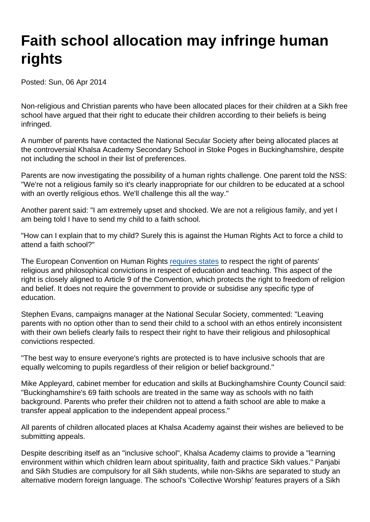## Faith school allocation may infringe human rights

Posted: Sun, 06 Apr 2014

Non-religious and Christian parents who have been allocated places for their children at a Sikh free school have argued that their right to educate their children according to their beliefs is being infringed.

A number of parents have contacted the National Secular Society after being allocated places at the controversial Khalsa Academy Secondary School in Stoke Poges in Buckinghamshire, despite not including the school in their list of preferences.

Parents are now investigating the possibility of a human rights challenge. One parent told the NSS: "We're not a religious family so it's clearly inappropriate for our children to be educated at a school with an overtly religious ethos. We'll challenge this all the way."

Another parent said: "I am extremely upset and shocked. We are not a religious family, and yet I am being told I have to send my child to a faith school.

"How can I explain that to my child? Surely this is against the Human Rights Act to force a child to attend a faith school?"

The European Convention on Human Rights [requires states](https://www.secularism.org.uk/right-to-education.html) to respect the right of parents' religious and philosophical convictions in respect of education and teaching. This aspect of the right is closely aligned to Article 9 of the Convention, which protects the right to freedom of religion and belief. It does not require the government to provide or subsidise any specific type of education.

Stephen Evans, campaigns manager at the National Secular Society, commented: "Leaving parents with no option other than to send their child to a school with an ethos entirely inconsistent with their own beliefs clearly fails to respect their right to have their religious and philosophical convictions respected.

"The best way to ensure everyone's rights are protected is to have inclusive schools that are equally welcoming to pupils regardless of their religion or belief background."

Mike Appleyard, cabinet member for education and skills at Buckinghamshire County Council said: "Buckinghamshire's 69 faith schools are treated in the same way as schools with no faith background. Parents who prefer their children not to attend a faith school are able to make a transfer appeal application to the independent appeal process."

All parents of children allocated places at Khalsa Academy against their wishes are believed to be submitting appeals.

Despite describing itself as an "inclusive school", Khalsa Academy claims to provide a "learning environment within which children learn about spirituality, faith and practice Sikh values." Panjabi and Sikh Studies are compulsory for all Sikh students, while non-Sikhs are separated to study an alternative modern foreign language. The school's 'Collective Worship' features prayers of a Sikh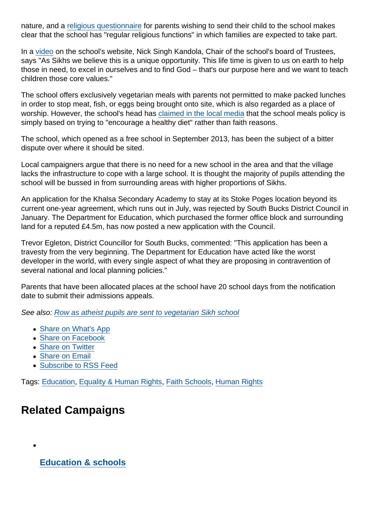nature, and a [religious questionnaire](http://www.khalsasecondaryacademy.com/files/ksa-religious-questionnaire2014.pdf) for parents wishing to send their child to the school makes clear that the school has "regular religious functions" in which families are expected to take part.

In a [video](http://vimeo.com/75824645) on the school's website, Nick Singh Kandola, Chair of the school's board of Trustees, says "As Sikhs we believe this is a unique opportunity. This life time is given to us on earth to help those in need, to excel in ourselves and to find God – that's our purpose here and we want to teach children those core values."

The school offers exclusively vegetarian meals with parents not permitted to make packed lunches in order to stop meat, fish, or eggs being brought onto site, which is also regarded as a place of worship. However, the school's head has [claimed in the local media](http://www.getbucks.co.uk/news/local-news/vegetarian-school-meals-health-reasons-6809067) that the school meals policy is simply based on trying to "encourage a healthy diet" rather than faith reasons.

The school, which opened as a free school in September 2013, has been the subject of a bitter dispute over where it should be sited.

Local campaigners argue that there is no need for a new school in the area and that the village lacks the infrastructure to cope with a large school. It is thought the majority of pupils attending the school will be bussed in from surrounding areas with higher proportions of Sikhs.

An application for the Khalsa Secondary Academy to stay at its Stoke Poges location beyond its current one-year agreement, which runs out in July, was rejected by South Bucks District Council in January. The Department for Education, which purchased the former office block and surrounding land for a reputed £4.5m, has now posted a new application with the Council.

Trevor Egleton, District Councillor for South Bucks, commented: "This application has been a travesty from the very beginning. The Department for Education have acted like the worst developer in the world, with every single aspect of what they are proposing in contravention of several national and local planning policies."

Parents that have been allocated places at the school have 20 school days from the notification date to submit their admissions appeals.

See also: [Row as atheist pupils are sent to vegetarian Sikh school](http://www.telegraph.co.uk/education/educationnews/10745673/Row-as-atheist-pupils-are-sent-to-vegetarian-Sikh-school.html)

- [Share on What's App](whatsapp://send?text=http://www.secularism.org.uk/news/2014/04/faith-school-allocation-infringes-human-rights?format=pdf)
- [Share on Facebook](https://www.facebook.com/sharer/sharer.php?u=http://www.secularism.org.uk/news/2014/04/faith-school-allocation-infringes-human-rights?format=pdf&t=Faith+school+allocation+may+infringe+human+rights)
- [Share on Twitter](https://twitter.com/intent/tweet?url=http://www.secularism.org.uk/news/2014/04/faith-school-allocation-infringes-human-rights?format=pdf&text=Faith+school+allocation+may+infringe+human+rights&via=NatSecSoc)
- [Share on Email](https://www.secularism.org.uk/share.html?url=http://www.secularism.org.uk/news/2014/04/faith-school-allocation-infringes-human-rights?format=pdf&title=Faith+school+allocation+may+infringe+human+rights)
- [Subscribe to RSS Feed](/mnt/web-data/www/cp-nss/feeds/rss/news)

Tags: [Education,](https://www.secularism.org.uk/news/tags/Education) [Equality & Human Rights,](https://www.secularism.org.uk/news/tags/Equality+&+Human+Rights) [Faith Schools](https://www.secularism.org.uk/news/tags/Faith+Schools), [Human Rights](https://www.secularism.org.uk/news/tags/Human+Rights)

## Related Campaigns

[Education & schools](https://www.secularism.org.uk/education/)